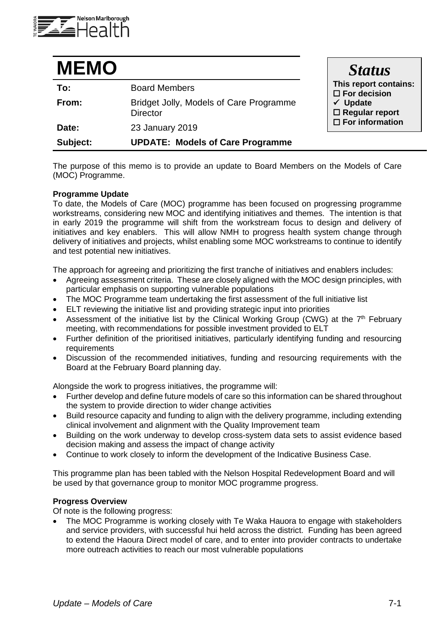

| <b>MEMO</b> |                                                            | <b>Status</b>                                                                                                             |
|-------------|------------------------------------------------------------|---------------------------------------------------------------------------------------------------------------------------|
| To:         | <b>Board Members</b>                                       | This report contains:<br>$\square$ For decision<br>$\checkmark$ Update<br>$\Box$ Regular report<br>$\Box$ For information |
| From:       | Bridget Jolly, Models of Care Programme<br><b>Director</b> |                                                                                                                           |
| Date:       | 23 January 2019                                            |                                                                                                                           |
| Subject:    | <b>UPDATE: Models of Care Programme</b>                    |                                                                                                                           |

The purpose of this memo is to provide an update to Board Members on the Models of Care (MOC) Programme.

## **Programme Update**

To date, the Models of Care (MOC) programme has been focused on progressing programme workstreams, considering new MOC and identifying initiatives and themes. The intention is that in early 2019 the programme will shift from the workstream focus to design and delivery of initiatives and key enablers. This will allow NMH to progress health system change through delivery of initiatives and projects, whilst enabling some MOC workstreams to continue to identify and test potential new initiatives.

The approach for agreeing and prioritizing the first tranche of initiatives and enablers includes:

- Agreeing assessment criteria. These are closely aligned with the MOC design principles, with particular emphasis on supporting vulnerable populations
- The MOC Programme team undertaking the first assessment of the full initiative list
- ELT reviewing the initiative list and providing strategic input into priorities
- Assessment of the initiative list by the Clinical Working Group (CWG) at the  $7<sup>th</sup>$  February meeting, with recommendations for possible investment provided to ELT
- Further definition of the prioritised initiatives, particularly identifying funding and resourcing requirements
- Discussion of the recommended initiatives, funding and resourcing requirements with the Board at the February Board planning day.

Alongside the work to progress initiatives, the programme will:

- Further develop and define future models of care so this information can be shared throughout the system to provide direction to wider change activities
- Build resource capacity and funding to align with the delivery programme, including extending clinical involvement and alignment with the Quality Improvement team
- Building on the work underway to develop cross-system data sets to assist evidence based decision making and assess the impact of change activity
- Continue to work closely to inform the development of the Indicative Business Case.

This programme plan has been tabled with the Nelson Hospital Redevelopment Board and will be used by that governance group to monitor MOC programme progress.

### **Progress Overview**

Of note is the following progress:

• The MOC Programme is working closely with Te Waka Hauora to engage with stakeholders and service providers, with successful hui held across the district. Funding has been agreed to extend the Haoura Direct model of care, and to enter into provider contracts to undertake more outreach activities to reach our most vulnerable populations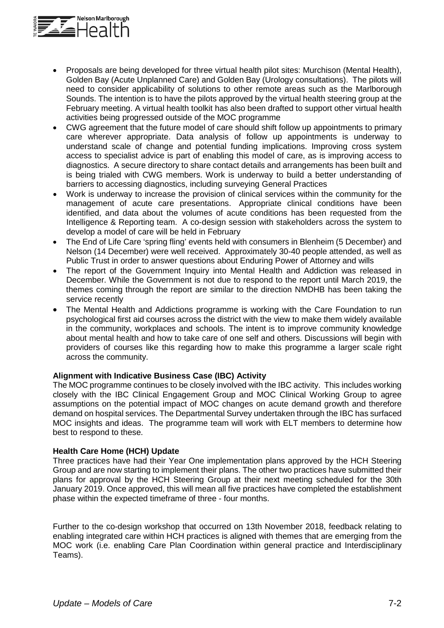

- Proposals are being developed for three virtual health pilot sites: Murchison (Mental Health), Golden Bay (Acute Unplanned Care) and Golden Bay (Urology consultations). The pilots will need to consider applicability of solutions to other remote areas such as the Marlborough Sounds. The intention is to have the pilots approved by the virtual health steering group at the February meeting. A virtual health toolkit has also been drafted to support other virtual health activities being progressed outside of the MOC programme
- CWG agreement that the future model of care should shift follow up appointments to primary care wherever appropriate. Data analysis of follow up appointments is underway to understand scale of change and potential funding implications. Improving cross system access to specialist advice is part of enabling this model of care, as is improving access to diagnostics. A secure directory to share contact details and arrangements has been built and is being trialed with CWG members. Work is underway to build a better understanding of barriers to accessing diagnostics, including surveying General Practices
- Work is underway to increase the provision of clinical services within the community for the management of acute care presentations. Appropriate clinical conditions have been identified, and data about the volumes of acute conditions has been requested from the Intelligence & Reporting team. A co-design session with stakeholders across the system to develop a model of care will be held in February
- The End of Life Care 'spring fling' events held with consumers in Blenheim (5 December) and Nelson (14 December) were well received. Approximately 30-40 people attended, as well as Public Trust in order to answer questions about Enduring Power of Attorney and wills
- The report of the Government Inquiry into Mental Health and Addiction was released in December. While the Government is not due to respond to the report until March 2019, the themes coming through the report are similar to the direction NMDHB has been taking the service recently
- The Mental Health and Addictions programme is working with the Care Foundation to run psychological first aid courses across the district with the view to make them widely available in the community, workplaces and schools. The intent is to improve community knowledge about mental health and how to take care of one self and others. Discussions will begin with providers of courses like this regarding how to make this programme a larger scale right across the community.

# **Alignment with Indicative Business Case (IBC) Activity**

The MOC programme continues to be closely involved with the IBC activity. This includes working closely with the IBC Clinical Engagement Group and MOC Clinical Working Group to agree assumptions on the potential impact of MOC changes on acute demand growth and therefore demand on hospital services. The Departmental Survey undertaken through the IBC has surfaced MOC insights and ideas. The programme team will work with ELT members to determine how best to respond to these.

# **Health Care Home (HCH) Update**

Three practices have had their Year One implementation plans approved by the HCH Steering Group and are now starting to implement their plans. The other two practices have submitted their plans for approval by the HCH Steering Group at their next meeting scheduled for the 30th January 2019. Once approved, this will mean all five practices have completed the establishment phase within the expected timeframe of three - four months.

Further to the co-design workshop that occurred on 13th November 2018, feedback relating to enabling integrated care within HCH practices is aligned with themes that are emerging from the MOC work (i.e. enabling Care Plan Coordination within general practice and Interdisciplinary Teams).